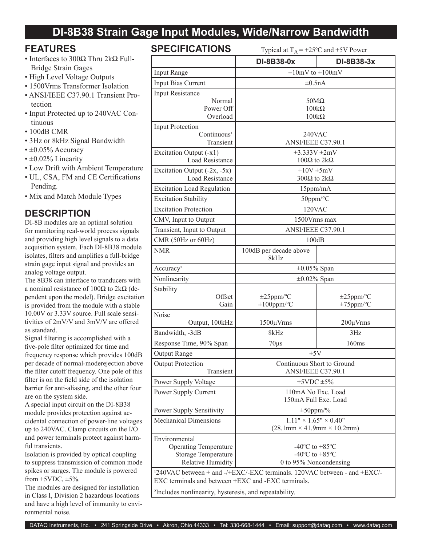# **DI-8B38 Strain Gage Input Modules, Wide/Narrow Bandwidth**

#### **FEATURES**

- Interfaces to 300Ω Thru 2kΩ Full-Bridge Strain Gages
- High Level Voltage Outputs
- 1500Vrms Transformer Isolation
- ANSI/IEEE C37.90.1 Transient Protection
- Input Protected up to 240VAC Continuous
- 100dB CMR
- 3Hz or 8kHz Signal Bandwidth
- $\cdot \pm 0.05\%$  Accuracy
- $\cdot$  ±0.02% Linearity
- Low Drift with Ambient Temperature
- UL, CSA, FM and CE Certifications Pending.
- Mix and Match Module Types

### **DESCRIPTION**

DI-8B modules are an optimal solution for monitoring real-world process signals and providing high level signals to a data acquisition system. Each DI-8B38 module isolates, filters and amplifies a full-bridge strain gage input signal and provides an analog voltage output.

The 8B38 can interface to tranducers with a nominal resistance of  $100Ω$  to  $2kΩ$  (dependent upon the model). Bridge excitation is provided from the module with a stable 10.00V or 3.33V source. Full scale sensitivities of 2mV/V and 3mV/V are offered as standard.

Signal filtering is accomplished with a five-pole filter optimized for time and frequency response which provides 100dB per decade of normal-moderejection above the filter cutoff frequency. One pole of this filter is on the field side of the isolation barrier for anti-aliasing, and the other four are on the system side.

A special input circuit on the DI-8B38 module provides protection against accidental connection of power-line voltages up to 240VAC. Clamp circuits on the I/O and power terminals protect against harmful transients.

Isolation is provided by optical coupling to suppress transmission of common mode spikes or surges. The module is powered from  $+5VDC$ ,  $\pm 5\%$ .

The modules are designed for installation in Class I, Division 2 hazardous locations and have a high level of immunity to environmental noise.

# **SPECIFICATIONS** Typical at  $T_A = +25^\circ C$  and  $+5V$  Power

|                                                                                      | DI-8B38-0x                                                     | DI-8B38-3x      |  |  |  |
|--------------------------------------------------------------------------------------|----------------------------------------------------------------|-----------------|--|--|--|
| <b>Input Range</b>                                                                   | $\pm 10$ mV to $\pm 100$ mV                                    |                 |  |  |  |
| Input Bias Current                                                                   | $\pm 0.5nA$                                                    |                 |  |  |  |
| <b>Input Resistance</b>                                                              |                                                                |                 |  |  |  |
| Normal                                                                               | $50M\Omega$                                                    |                 |  |  |  |
| Power Off<br>Overload                                                                | $100k\Omega$<br>$100k\Omega$                                   |                 |  |  |  |
| <b>Input Protection</b>                                                              |                                                                |                 |  |  |  |
| Continuous <sup>1</sup>                                                              | 240VAC                                                         |                 |  |  |  |
| Transient                                                                            | ANSI/IEEE C37.90.1                                             |                 |  |  |  |
| Excitation Output (-x1)                                                              | +3.333V $\pm 2mV$                                              |                 |  |  |  |
| <b>Load Resistance</b>                                                               | $100Ω$ to 2kΩ                                                  |                 |  |  |  |
| Excitation Output $(-2x, -5x)$<br><b>Load Resistance</b>                             | $+10V \pm 5mV$<br>300Ω to $2kΩ$                                |                 |  |  |  |
| <b>Excitation Load Regulation</b>                                                    | $15$ ppm/m $A$                                                 |                 |  |  |  |
| <b>Excitation Stability</b>                                                          | 50ppm/°C                                                       |                 |  |  |  |
| <b>Excitation Protection</b>                                                         | 120VAC                                                         |                 |  |  |  |
| CMV, Input to Output                                                                 | 1500Vrms max                                                   |                 |  |  |  |
| Transient, Input to Output                                                           | ANSI/IEEE C37.90.1                                             |                 |  |  |  |
| CMR (50Hz or 60Hz)                                                                   | 100dB                                                          |                 |  |  |  |
| <b>NMR</b>                                                                           | 100dB per decade above                                         |                 |  |  |  |
|                                                                                      | 8kHz                                                           |                 |  |  |  |
| Accuracy <sup>2</sup>                                                                | $\pm 0.05\%$ Span                                              |                 |  |  |  |
| Nonlinearity                                                                         | $\pm 0.02\%$ Span                                              |                 |  |  |  |
| Stability                                                                            |                                                                |                 |  |  |  |
| Offset                                                                               | $\pm 25$ ppm/°C                                                | $\pm 25$ ppm/°C |  |  |  |
| Gain                                                                                 | $\pm 100$ ppm/°C                                               | $\pm 75$ ppm/°C |  |  |  |
| Noise<br>Output, 100kHz                                                              | $1500 \mu V$ rms                                               | $200 \mu V$ rms |  |  |  |
| Bandwidth, -3dB                                                                      | 8kHz                                                           | 3Hz             |  |  |  |
| Response Time, 90% Span                                                              | $70\mu s$                                                      | 160ms           |  |  |  |
| <b>Output Range</b>                                                                  | $\pm 5V$                                                       |                 |  |  |  |
| <b>Output Protection</b>                                                             | Continuous Short to Ground                                     |                 |  |  |  |
| Transient                                                                            | ANSI/IEEE C37.90.1                                             |                 |  |  |  |
| Power Supply Voltage                                                                 | $+5$ VDC $\pm$ 5%                                              |                 |  |  |  |
| Power Supply Current                                                                 | 110mA No Exc. Load                                             |                 |  |  |  |
|                                                                                      | 150mA Full Exc. Load                                           |                 |  |  |  |
| Power Supply Sensitivity                                                             | $\pm 50$ ppm/%                                                 |                 |  |  |  |
| <b>Mechanical Dimensions</b>                                                         | $1.11" \times 1.65" \times 0.40"$                              |                 |  |  |  |
|                                                                                      | $(28.1 \text{mm} \times 41.9 \text{mm} \times 10.2 \text{mm})$ |                 |  |  |  |
| Environmental<br><b>Operating Temperature</b>                                        | $-40^{\circ}$ C to $+85^{\circ}$ C                             |                 |  |  |  |
| <b>Storage Temperature</b>                                                           | -40 $^{\circ}$ C to +85 $^{\circ}$ C                           |                 |  |  |  |
| <b>Relative Humidity</b>                                                             | 0 to 95% Noncondensing                                         |                 |  |  |  |
| <sup>1</sup> 240VAC between + and -/+EXC/-EXC terminals. 120VAC between - and +EXC/- |                                                                |                 |  |  |  |
| EXC terminals and between +EXC and -EXC terminals.                                   |                                                                |                 |  |  |  |
| <sup>2</sup> Includes nonlinearity, hysteresis, and repeatability.                   |                                                                |                 |  |  |  |